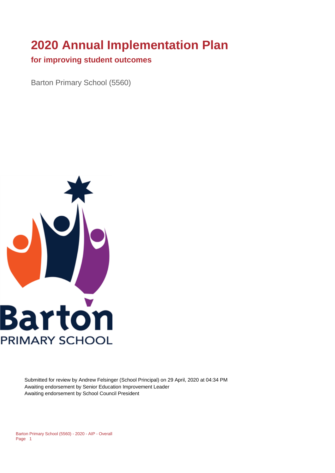# **2020 Annual Implementation Plan**

#### **for improving student outcomes**

Barton Primary School (5560)



Submitted for review by Andrew Felsinger (School Principal) on 29 April, 2020 at 04:34 PM Awaiting endorsement by Senior Education Improvement Leader Awaiting endorsement by School Council President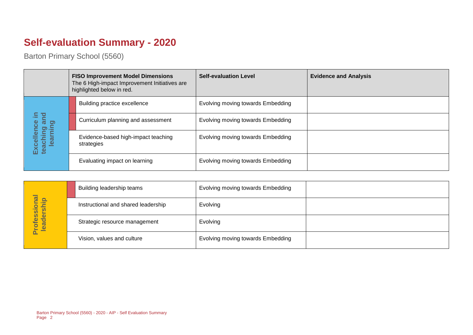# **Self-evaluation Summary - 2020**

Barton Primary School (5560)

|                                                    | <b>FISO Improvement Model Dimensions</b><br>The 6 High-impact Improvement Initiatives are<br>highlighted below in red. |                                                   | <b>Self-evaluation Level</b>      | <b>Evidence and Analysis</b> |
|----------------------------------------------------|------------------------------------------------------------------------------------------------------------------------|---------------------------------------------------|-----------------------------------|------------------------------|
| ≘.<br>and<br>Excellence<br>teaching an<br>learning |                                                                                                                        | Building practice excellence                      | Evolving moving towards Embedding |                              |
|                                                    |                                                                                                                        | Curriculum planning and assessment                | Evolving moving towards Embedding |                              |
|                                                    |                                                                                                                        | Evidence-based high-impact teaching<br>strategies | Evolving moving towards Embedding |                              |
|                                                    |                                                                                                                        | Evaluating impact on learning                     | Evolving moving towards Embedding |                              |

| Professional<br>leadership | Building leadership teams           | Evolving moving towards Embedding |  |
|----------------------------|-------------------------------------|-----------------------------------|--|
|                            | Instructional and shared leadership | Evolving                          |  |
|                            | Strategic resource management       | Evolving                          |  |
|                            | Vision, values and culture          | Evolving moving towards Embedding |  |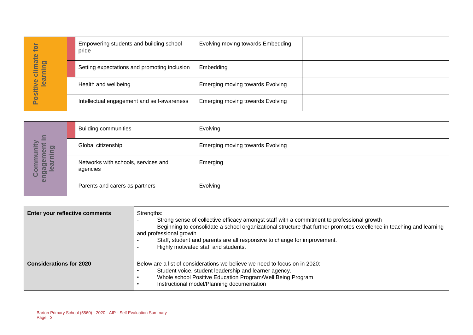| <u>iot</u><br>imate<br>פֵ<br>╾<br><b>Property</b><br>►<br><b>Bal</b><br>$\bullet$<br>Ξ<br><u>ფ</u> | Empowering students and building school<br>pride | Evolving moving towards Embedding       |  |
|----------------------------------------------------------------------------------------------------|--------------------------------------------------|-----------------------------------------|--|
|                                                                                                    | Setting expectations and promoting inclusion     | Embedding                               |  |
|                                                                                                    | Health and wellbeing                             | <b>Emerging moving towards Evolving</b> |  |
|                                                                                                    | Intellectual engagement and self-awareness       | Emerging moving towards Evolving        |  |

| $\subseteq$<br><b>STATE</b><br>ට)<br>$\mathbf{\Theta}$<br><u>ო</u><br>$\cup$<br><b>Die</b> | <b>Building communities</b>                     | Evolving                                |  |
|--------------------------------------------------------------------------------------------|-------------------------------------------------|-----------------------------------------|--|
|                                                                                            | Global citizenship                              | <b>Emerging moving towards Evolving</b> |  |
|                                                                                            | Networks with schools, services and<br>agencies | Emerging                                |  |
|                                                                                            | Parents and carers as partners                  | Evolving                                |  |

|                                                                               | Empowering students and building school<br>pride |                                              | Evolving moving towards Embedding                                                                                                                                                                                                               |                                                                                                                      |
|-------------------------------------------------------------------------------|--------------------------------------------------|----------------------------------------------|-------------------------------------------------------------------------------------------------------------------------------------------------------------------------------------------------------------------------------------------------|----------------------------------------------------------------------------------------------------------------------|
| learning                                                                      |                                                  | Setting expectations and promoting inclusion | Embedding                                                                                                                                                                                                                                       |                                                                                                                      |
| Positive climate for                                                          | Health and wellbeing                             |                                              | <b>Emerging moving towards Evolving</b>                                                                                                                                                                                                         |                                                                                                                      |
|                                                                               | Intellectual engagement and self-awareness       |                                              | <b>Emerging moving towards Evolving</b>                                                                                                                                                                                                         |                                                                                                                      |
|                                                                               |                                                  |                                              |                                                                                                                                                                                                                                                 |                                                                                                                      |
|                                                                               | <b>Building communities</b>                      |                                              | Evolving                                                                                                                                                                                                                                        |                                                                                                                      |
|                                                                               | Global citizenship                               |                                              | Emerging moving towards Evolving                                                                                                                                                                                                                |                                                                                                                      |
| engagement in<br>Community<br>earning                                         | Networks with schools, services and<br>agencies  |                                              | Emerging                                                                                                                                                                                                                                        |                                                                                                                      |
|                                                                               | Parents and carers as partners                   |                                              | Evolving                                                                                                                                                                                                                                        |                                                                                                                      |
|                                                                               |                                                  |                                              |                                                                                                                                                                                                                                                 |                                                                                                                      |
| Enter your reflective comments                                                |                                                  | Strengths:<br>and professional growth        | Strong sense of collective efficacy amongst staff with a commitment to professional growth<br>Staff, student and parents are all responsive to change for improvement.<br>Highly motivated staff and students.                                  | Beginning to consolidate a school organizational structure that further promotes excellence in teaching and learning |
| <b>Considerations for 2020</b>                                                |                                                  |                                              | Below are a list of considerations we believe we need to focus on in 2020:<br>Student voice, student leadership and learner agency.<br>Whole school Positive Education Program/Well Being Program<br>Instructional model/Planning documentation |                                                                                                                      |
| Barton Primary School (5560) - 2020 - AIP - Self Evaluation Summary<br>Page 3 |                                                  |                                              |                                                                                                                                                                                                                                                 |                                                                                                                      |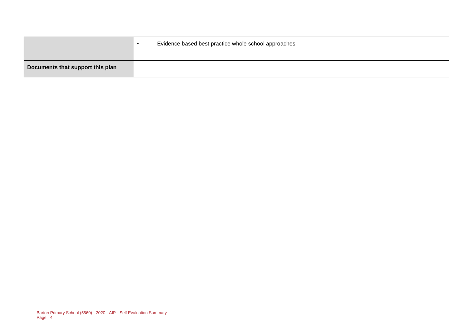|                                  | Evidence based best practice whole school approaches |
|----------------------------------|------------------------------------------------------|
| Documents that support this plan |                                                      |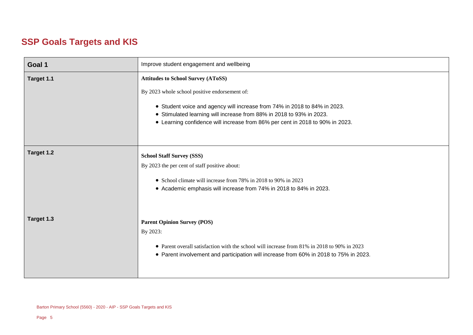### **SSP Goals Targets and KIS**

| Goal 1     | Improve student engagement and wellbeing                                                                                                                                                                                                                                                                                         |
|------------|----------------------------------------------------------------------------------------------------------------------------------------------------------------------------------------------------------------------------------------------------------------------------------------------------------------------------------|
| Target 1.1 | <b>Attitudes to School Survey (AToSS)</b><br>By 2023 whole school positive endorsement of:<br>• Student voice and agency will increase from 74% in 2018 to 84% in 2023.<br>• Stimulated learning will increase from 88% in 2018 to 93% in 2023.<br>• Learning confidence will increase from 86% per cent in 2018 to 90% in 2023. |
| Target 1.2 | <b>School Staff Survey (SSS)</b><br>By 2023 the per cent of staff positive about:<br>• School climate will increase from 78% in 2018 to 90% in 2023<br>• Academic emphasis will increase from 74% in 2018 to 84% in 2023.                                                                                                        |
| Target 1.3 | <b>Parent Opinion Survey (POS)</b><br>By 2023:<br>• Parent overall satisfaction with the school will increase from 81% in 2018 to 90% in 2023<br>• Parent involvement and participation will increase from 60% in 2018 to 75% in 2023.                                                                                           |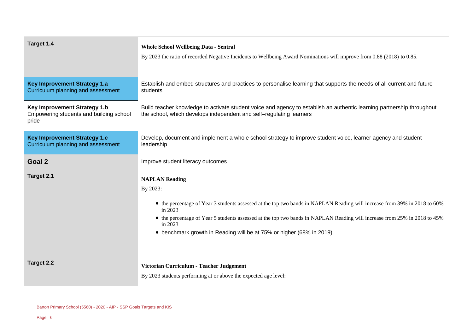| Target 1.4                                                                              | <b>Whole School Wellbeing Data - Sentral</b><br>By 2023 the ratio of recorded Negative Incidents to Wellbeing Award Nominations will improve from 0.88 (2018) to 0.85.                                                                                                                                                                                                                     |  |
|-----------------------------------------------------------------------------------------|--------------------------------------------------------------------------------------------------------------------------------------------------------------------------------------------------------------------------------------------------------------------------------------------------------------------------------------------------------------------------------------------|--|
| <b>Key Improvement Strategy 1.a</b><br>Curriculum planning and assessment               | Establish and embed structures and practices to personalise learning that supports the needs of all current and future<br>students                                                                                                                                                                                                                                                         |  |
| <b>Key Improvement Strategy 1.b</b><br>Empowering students and building school<br>pride | Build teacher knowledge to activate student voice and agency to establish an authentic learning partnership throughout<br>the school, which develops independent and self-regulating learners                                                                                                                                                                                              |  |
| <b>Key Improvement Strategy 1.c</b><br>Curriculum planning and assessment               | Develop, document and implement a whole school strategy to improve student voice, learner agency and student<br>leadership                                                                                                                                                                                                                                                                 |  |
| Goal 2                                                                                  | Improve student literacy outcomes                                                                                                                                                                                                                                                                                                                                                          |  |
| Target 2.1                                                                              | <b>NAPLAN Reading</b><br>By 2023:<br>• the percentage of Year 3 students assessed at the top two bands in NAPLAN Reading will increase from 39% in 2018 to 60%<br>in 2023<br>• the percentage of Year 5 students assessed at the top two bands in NAPLAN Reading will increase from 25% in 2018 to 45%<br>in 2023<br>• benchmark growth in Reading will be at 75% or higher (68% in 2019). |  |
| Target 2.2                                                                              | Victorian Curriculum - Teacher Judgement<br>By 2023 students performing at or above the expected age level:                                                                                                                                                                                                                                                                                |  |

 $\mathbf{r}$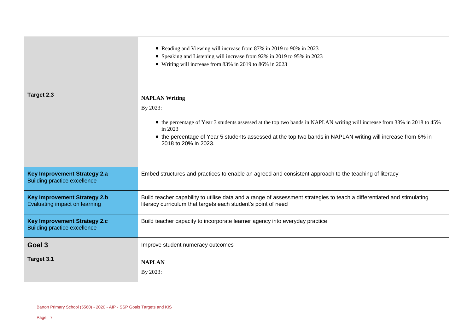|                                                                            | • Reading and Viewing will increase from 87% in 2019 to 90% in 2023<br>• Speaking and Listening will increase from 92% in 2019 to 95% in 2023<br>• Writing will increase from 83% in 2019 to 86% in 2023                                                                                                          |
|----------------------------------------------------------------------------|-------------------------------------------------------------------------------------------------------------------------------------------------------------------------------------------------------------------------------------------------------------------------------------------------------------------|
| Target 2.3                                                                 | <b>NAPLAN Writing</b><br>By 2023:<br>• the percentage of Year 3 students assessed at the top two bands in NAPLAN writing will increase from 33% in 2018 to 45%<br>in 2023<br>• the percentage of Year 5 students assessed at the top two bands in NAPLAN writing will increase from 6% in<br>2018 to 20% in 2023. |
| <b>Key Improvement Strategy 2.a</b><br><b>Building practice excellence</b> | Embed structures and practices to enable an agreed and consistent approach to the teaching of literacy                                                                                                                                                                                                            |
| <b>Key Improvement Strategy 2.b</b><br>Evaluating impact on learning       | Build teacher capability to utilise data and a range of assessment strategies to teach a differentiated and stimulating<br>literacy curriculum that targets each student's point of need                                                                                                                          |
| <b>Key Improvement Strategy 2.c</b><br><b>Building practice excellence</b> | Build teacher capacity to incorporate learner agency into everyday practice                                                                                                                                                                                                                                       |
| Goal <sub>3</sub>                                                          | Improve student numeracy outcomes                                                                                                                                                                                                                                                                                 |
| Target 3.1                                                                 | <b>NAPLAN</b><br>By 2023:                                                                                                                                                                                                                                                                                         |

 $\mathbf{r}$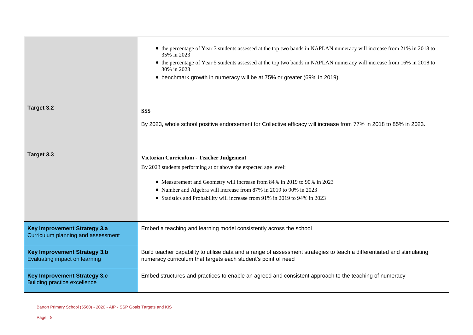|                                                                            | • the percentage of Year 3 students assessed at the top two bands in NAPLAN numeracy will increase from 21% in 2018 to<br>35% in 2023<br>• the percentage of Year 5 students assessed at the top two bands in NAPLAN numeracy will increase from 16% in 2018 to<br>30% in 2023<br>• benchmark growth in numeracy will be at 75% or greater (69% in 2019). |
|----------------------------------------------------------------------------|-----------------------------------------------------------------------------------------------------------------------------------------------------------------------------------------------------------------------------------------------------------------------------------------------------------------------------------------------------------|
| Target 3.2                                                                 | <b>SSS</b>                                                                                                                                                                                                                                                                                                                                                |
|                                                                            | By 2023, whole school positive endorsement for Collective efficacy will increase from 77% in 2018 to 85% in 2023.                                                                                                                                                                                                                                         |
| Target 3.3                                                                 | Victorian Curriculum - Teacher Judgement                                                                                                                                                                                                                                                                                                                  |
|                                                                            | By 2023 students performing at or above the expected age level:                                                                                                                                                                                                                                                                                           |
|                                                                            | • Measurement and Geometry will increase from 84% in 2019 to 90% in 2023                                                                                                                                                                                                                                                                                  |
|                                                                            | • Number and Algebra will increase from 87% in 2019 to 90% in 2023                                                                                                                                                                                                                                                                                        |
|                                                                            | • Statistics and Probability will increase from 91% in 2019 to 94% in 2023                                                                                                                                                                                                                                                                                |
| <b>Key Improvement Strategy 3.a</b><br>Curriculum planning and assessment  | Embed a teaching and learning model consistently across the school                                                                                                                                                                                                                                                                                        |
| <b>Key Improvement Strategy 3.b</b><br>Evaluating impact on learning       | Build teacher capability to utilise data and a range of assessment strategies to teach a differentiated and stimulating<br>numeracy curriculum that targets each student's point of need                                                                                                                                                                  |
| <b>Key Improvement Strategy 3.c</b><br><b>Building practice excellence</b> | Embed structures and practices to enable an agreed and consistent approach to the teaching of numeracy                                                                                                                                                                                                                                                    |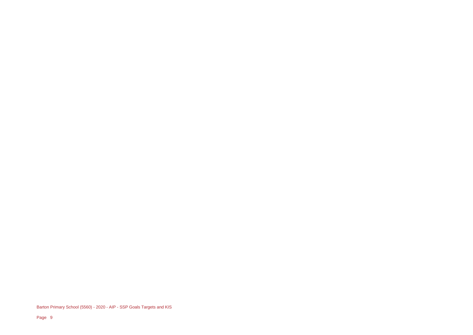Barton Primary School (5560) - 2020 - AIP - SSP Goals Targets and KIS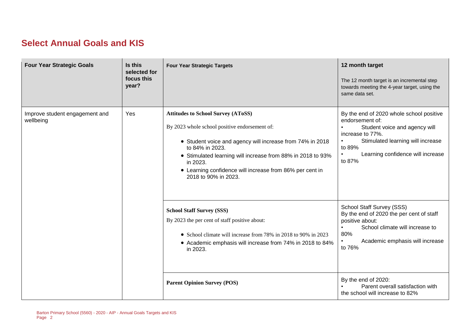### **Select Annual Goals and KIS**

| <b>Four Year Strategic Goals</b>            | Is this<br>selected for<br>focus this<br>year? | <b>Four Year Strategic Targets</b>                                                                                                                                                                                                                                                                                                        | 12 month target<br>The 12 month target is an incremental step<br>towards meeting the 4-year target, using the<br>same data set.                                                                                                                                                            |
|---------------------------------------------|------------------------------------------------|-------------------------------------------------------------------------------------------------------------------------------------------------------------------------------------------------------------------------------------------------------------------------------------------------------------------------------------------|--------------------------------------------------------------------------------------------------------------------------------------------------------------------------------------------------------------------------------------------------------------------------------------------|
| Improve student engagement and<br>wellbeing | Yes                                            | <b>Attitudes to School Survey (AToSS)</b><br>By 2023 whole school positive endorsement of:<br>• Student voice and agency will increase from 74% in 2018<br>to 84% in 2023.<br>• Stimulated learning will increase from 88% in 2018 to 93%<br>in 2023.<br>• Learning confidence will increase from 86% per cent in<br>2018 to 90% in 2023. | By the end of 2020 whole school positive<br>endorsement of:<br>Student voice and agency will<br>increase to 77%.<br>Stimulated learning will increase<br>to 89%<br>Learning confidence will increase<br>to 87%                                                                             |
|                                             |                                                | <b>School Staff Survey (SSS)</b><br>By 2023 the per cent of staff positive about:<br>• School climate will increase from 78% in 2018 to 90% in 2023<br>• Academic emphasis will increase from 74% in 2018 to 84%<br>in 2023.<br><b>Parent Opinion Survey (POS)</b>                                                                        | School Staff Survey (SSS)<br>By the end of 2020 the per cent of staff<br>positive about:<br>School climate will increase to<br>80%<br>Academic emphasis will increase<br>$\bullet$<br>to 76%<br>By the end of 2020:<br>Parent overall satisfaction with<br>the school will increase to 82% |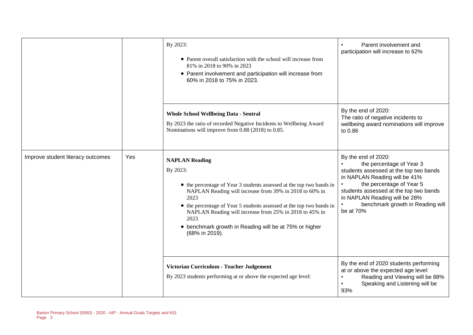|                                   |     | By 2023:<br>• Parent overall satisfaction with the school will increase from<br>81% in 2018 to 90% in 2023<br>• Parent involvement and participation will increase from<br>60% in 2018 to 75% in 2023.                                                                                                                                                                                              | Parent involvement and<br>participation will increase to 62%                                                                                                                                                                                                                       |
|-----------------------------------|-----|-----------------------------------------------------------------------------------------------------------------------------------------------------------------------------------------------------------------------------------------------------------------------------------------------------------------------------------------------------------------------------------------------------|------------------------------------------------------------------------------------------------------------------------------------------------------------------------------------------------------------------------------------------------------------------------------------|
|                                   |     | <b>Whole School Wellbeing Data - Sentral</b><br>By 2023 the ratio of recorded Negative Incidents to Wellbeing Award<br>Nominations will improve from 0.88 (2018) to 0.85.                                                                                                                                                                                                                           | By the end of 2020:<br>The ratio of negative incidents to<br>wellbeing award nominations will improve<br>to 0.86                                                                                                                                                                   |
| Improve student literacy outcomes | Yes | <b>NAPLAN Reading</b><br>By 2023:<br>• the percentage of Year 3 students assessed at the top two bands in<br>NAPLAN Reading will increase from 39% in 2018 to 60% in<br>2023<br>• the percentage of Year 5 students assessed at the top two bands in<br>NAPLAN Reading will increase from 25% in 2018 to 45% in<br>2023<br>• benchmark growth in Reading will be at 75% or higher<br>(68% in 2019). | By the end of 2020:<br>the percentage of Year 3<br>students assessed at the top two bands<br>in NAPLAN Reading will be 41%<br>the percentage of Year 5<br>students assessed at the top two bands<br>in NAPLAN Reading will be 28%<br>benchmark growth in Reading will<br>be at 70% |
|                                   |     | Victorian Curriculum - Teacher Judgement<br>By 2023 students performing at or above the expected age level:                                                                                                                                                                                                                                                                                         | By the end of 2020 students performing<br>at or above the expected age level:<br>Reading and Viewing will be 88%<br>Speaking and Listening will be<br>93%                                                                                                                          |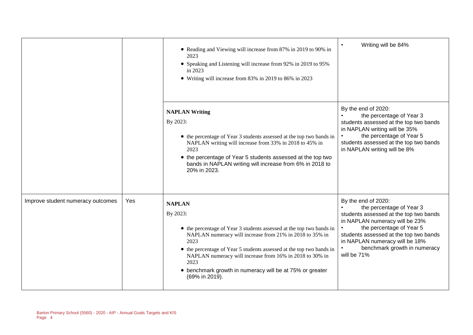|                                   |     | • Reading and Viewing will increase from 87% in 2019 to 90% in<br>2023<br>• Speaking and Listening will increase from 92% in 2019 to 95%<br>in $2023$<br>• Writing will increase from 83% in 2019 to 86% in 2023                                                                                                                                                                                | Writing will be 84%                                                                                                                                                                                                                                                                |
|-----------------------------------|-----|-------------------------------------------------------------------------------------------------------------------------------------------------------------------------------------------------------------------------------------------------------------------------------------------------------------------------------------------------------------------------------------------------|------------------------------------------------------------------------------------------------------------------------------------------------------------------------------------------------------------------------------------------------------------------------------------|
|                                   |     | <b>NAPLAN Writing</b><br>By 2023:<br>• the percentage of Year 3 students assessed at the top two bands in<br>NAPLAN writing will increase from 33% in 2018 to 45% in<br>2023<br>• the percentage of Year 5 students assessed at the top two<br>bands in NAPLAN writing will increase from 6% in 2018 to<br>20% in 2023.                                                                         | By the end of 2020:<br>the percentage of Year 3<br>students assessed at the top two bands<br>in NAPLAN writing will be 35%<br>the percentage of Year 5<br>students assessed at the top two bands<br>in NAPLAN writing will be 8%                                                   |
| Improve student numeracy outcomes | Yes | <b>NAPLAN</b><br>By 2023:<br>• the percentage of Year 3 students assessed at the top two bands in<br>NAPLAN numeracy will increase from 21% in 2018 to 35% in<br>2023<br>• the percentage of Year 5 students assessed at the top two bands in<br>NAPLAN numeracy will increase from 16% in 2018 to 30% in<br>2023<br>• benchmark growth in numeracy will be at 75% or greater<br>(69% in 2019). | By the end of 2020:<br>the percentage of Year 3<br>students assessed at the top two bands<br>in NAPLAN numeracy will be 23%<br>the percentage of Year 5<br>students assessed at the top two bands<br>in NAPLAN numeracy will be 18%<br>benchmark growth in numeracy<br>will be 71% |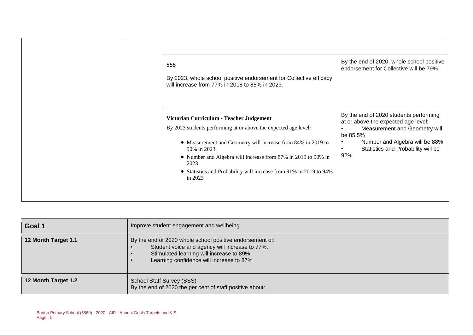|  | <b>SSS</b><br>By 2023, whole school positive endorsement for Collective efficacy<br>will increase from 77% in 2018 to 85% in 2023.                                                                                                                                                                                                                   | By the end of 2020, whole school positive<br>endorsement for Collective will be 79%                                                                                                                                                 |
|--|------------------------------------------------------------------------------------------------------------------------------------------------------------------------------------------------------------------------------------------------------------------------------------------------------------------------------------------------------|-------------------------------------------------------------------------------------------------------------------------------------------------------------------------------------------------------------------------------------|
|  | Victorian Curriculum - Teacher Judgement<br>By 2023 students performing at or above the expected age level:<br>• Measurement and Geometry will increase from 84% in 2019 to<br>90% in 2023<br>• Number and Algebra will increase from 87% in 2019 to 90% in<br>2023<br>• Statistics and Probability will increase from 91% in 2019 to 94%<br>in 2023 | By the end of 2020 students performing<br>at or above the expected age level:<br>Measurement and Geometry will<br>be 85.5%<br>Number and Algebra will be 88%<br>$\bullet$<br>Statistics and Probability will be<br>$\bullet$<br>92% |

| Goal 1              | Improve student engagement and wellbeing                                                                                                                                                           |
|---------------------|----------------------------------------------------------------------------------------------------------------------------------------------------------------------------------------------------|
| 12 Month Target 1.1 | By the end of 2020 whole school positive endorsement of:<br>Student voice and agency will increase to 77%.<br>Stimulated learning will increase to 89%<br>Learning confidence will increase to 87% |
| 12 Month Target 1.2 | School Staff Survey (SSS)<br>By the end of 2020 the per cent of staff positive about:                                                                                                              |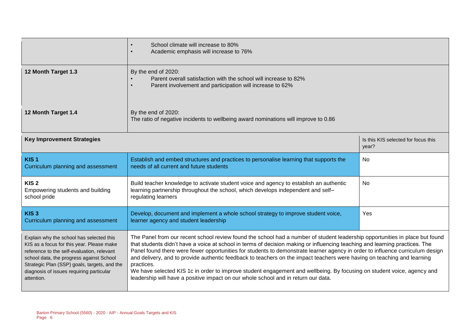|                                                                                                                                                                                                                                                                                           | School climate will increase to 80%<br>Academic emphasis will increase to 76%                                                                                                                                                                                                                                                                                                                                                                                                                                                                                                                                                                                                                                                                         |                                              |  |  |
|-------------------------------------------------------------------------------------------------------------------------------------------------------------------------------------------------------------------------------------------------------------------------------------------|-------------------------------------------------------------------------------------------------------------------------------------------------------------------------------------------------------------------------------------------------------------------------------------------------------------------------------------------------------------------------------------------------------------------------------------------------------------------------------------------------------------------------------------------------------------------------------------------------------------------------------------------------------------------------------------------------------------------------------------------------------|----------------------------------------------|--|--|
| 12 Month Target 1.3                                                                                                                                                                                                                                                                       | By the end of 2020:<br>Parent overall satisfaction with the school will increase to 82%<br>Parent involvement and participation will increase to 62%<br>$\bullet$                                                                                                                                                                                                                                                                                                                                                                                                                                                                                                                                                                                     |                                              |  |  |
| 12 Month Target 1.4                                                                                                                                                                                                                                                                       | By the end of 2020:<br>The ratio of negative incidents to wellbeing award nominations will improve to 0.86                                                                                                                                                                                                                                                                                                                                                                                                                                                                                                                                                                                                                                            |                                              |  |  |
| <b>Key Improvement Strategies</b>                                                                                                                                                                                                                                                         |                                                                                                                                                                                                                                                                                                                                                                                                                                                                                                                                                                                                                                                                                                                                                       | Is this KIS selected for focus this<br>year? |  |  |
| KIS <sub>1</sub><br>Curriculum planning and assessment                                                                                                                                                                                                                                    | Establish and embed structures and practices to personalise learning that supports the<br>needs of all current and future students                                                                                                                                                                                                                                                                                                                                                                                                                                                                                                                                                                                                                    | <b>No</b>                                    |  |  |
| KIS <sub>2</sub><br>Empowering students and building<br>school pride                                                                                                                                                                                                                      | Build teacher knowledge to activate student voice and agency to establish an authentic<br>learning partnership throughout the school, which develops independent and self-<br>regulating learners                                                                                                                                                                                                                                                                                                                                                                                                                                                                                                                                                     | No                                           |  |  |
| KIS <sub>3</sub><br>Curriculum planning and assessment                                                                                                                                                                                                                                    | Develop, document and implement a whole school strategy to improve student voice,<br>learner agency and student leadership                                                                                                                                                                                                                                                                                                                                                                                                                                                                                                                                                                                                                            | Yes                                          |  |  |
| Explain why the school has selected this<br>KIS as a focus for this year. Please make<br>reference to the self-evaluation, relevant<br>school data, the progress against School<br>Strategic Plan (SSP) goals, targets, and the<br>diagnosis of issues requiring particular<br>attention. | The Panel from our recent school review found the school had a number of student leadership opportunities in place but found<br>that students didn't have a voice at school in terms of decision making or influencing teaching and learning practices. The<br>Panel found there were fewer opportunities for students to demonstrate learner agency in order to influence curriculum design<br>and delivery, and to provide authentic feedback to teachers on the impact teachers were having on teaching and learning<br>practices.<br>We have selected KIS 1c in order to improve student engagement and wellbeing. By focusing on student voice, agency and<br>leadership will have a positive impact on our whole school and in return our data. |                                              |  |  |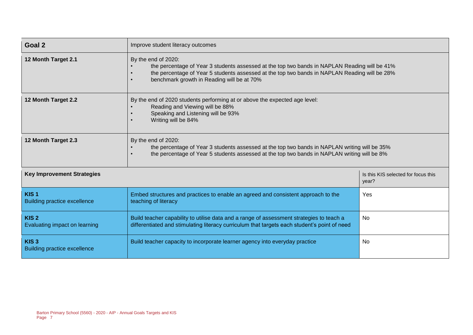| Goal <sub>2</sub>                                       | Improve student literacy outcomes                                                                                                                                                                                                                                                             |                                              |  |  |
|---------------------------------------------------------|-----------------------------------------------------------------------------------------------------------------------------------------------------------------------------------------------------------------------------------------------------------------------------------------------|----------------------------------------------|--|--|
| 12 Month Target 2.1                                     | By the end of 2020:<br>the percentage of Year 3 students assessed at the top two bands in NAPLAN Reading will be 41%<br>the percentage of Year 5 students assessed at the top two bands in NAPLAN Reading will be 28%<br>$\bullet$<br>benchmark growth in Reading will be at 70%<br>$\bullet$ |                                              |  |  |
| 12 Month Target 2.2                                     | By the end of 2020 students performing at or above the expected age level:<br>Reading and Viewing will be 88%<br>Speaking and Listening will be 93%<br>Writing will be 84%<br>$\bullet$                                                                                                       |                                              |  |  |
| 12 Month Target 2.3                                     | By the end of 2020:<br>the percentage of Year 3 students assessed at the top two bands in NAPLAN writing will be 35%<br>the percentage of Year 5 students assessed at the top two bands in NAPLAN writing will be 8%<br>$\bullet$                                                             |                                              |  |  |
| <b>Key Improvement Strategies</b>                       |                                                                                                                                                                                                                                                                                               | Is this KIS selected for focus this<br>year? |  |  |
| KIS <sub>1</sub><br><b>Building practice excellence</b> | Embed structures and practices to enable an agreed and consistent approach to the<br>teaching of literacy                                                                                                                                                                                     | Yes                                          |  |  |
| KIS <sub>2</sub><br>Evaluating impact on learning       | Build teacher capability to utilise data and a range of assessment strategies to teach a<br>differentiated and stimulating literacy curriculum that targets each student's point of need                                                                                                      | No                                           |  |  |
| KIS <sub>3</sub><br><b>Building practice excellence</b> | Build teacher capacity to incorporate learner agency into everyday practice                                                                                                                                                                                                                   | No                                           |  |  |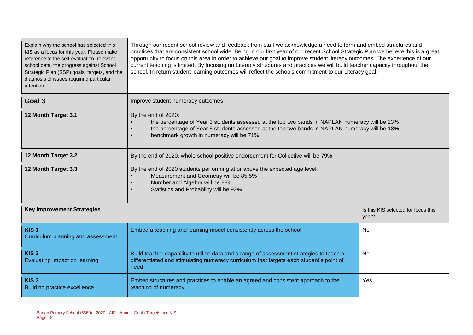| Explain why the school has selected this<br>KIS as a focus for this year. Please make<br>reference to the self-evaluation, relevant<br>school data, the progress against School<br>Strategic Plan (SSP) goals, targets, and the<br>diagnosis of issues requiring particular<br>attention. | Through our recent school review and feedback from staff we acknowledge a need to form and embed structures and<br>practices that are consistent school wide. Being in our first year of our recent School Strategic Plan we believe this is a great<br>opportunity to focus on this area in order to achieve our goal to improve student literacy outcomes. The experience of our<br>current teaching is limited. By focusing on Literacy structures and practices we will build teacher capacity throughout the<br>school. In return student learning outcomes will reflect the schools commitment to our Literacy goal. |                                              |  |  |
|-------------------------------------------------------------------------------------------------------------------------------------------------------------------------------------------------------------------------------------------------------------------------------------------|----------------------------------------------------------------------------------------------------------------------------------------------------------------------------------------------------------------------------------------------------------------------------------------------------------------------------------------------------------------------------------------------------------------------------------------------------------------------------------------------------------------------------------------------------------------------------------------------------------------------------|----------------------------------------------|--|--|
| Goal 3                                                                                                                                                                                                                                                                                    | Improve student numeracy outcomes                                                                                                                                                                                                                                                                                                                                                                                                                                                                                                                                                                                          |                                              |  |  |
| 12 Month Target 3.1                                                                                                                                                                                                                                                                       | By the end of 2020:<br>the percentage of Year 3 students assessed at the top two bands in NAPLAN numeracy will be 23%<br>the percentage of Year 5 students assessed at the top two bands in NAPLAN numeracy will be 18%<br>benchmark growth in numeracy will be 71%                                                                                                                                                                                                                                                                                                                                                        |                                              |  |  |
| 12 Month Target 3.2                                                                                                                                                                                                                                                                       | By the end of 2020, whole school positive endorsement for Collective will be 79%                                                                                                                                                                                                                                                                                                                                                                                                                                                                                                                                           |                                              |  |  |
| 12 Month Target 3.3                                                                                                                                                                                                                                                                       | By the end of 2020 students performing at or above the expected age level:<br>Measurement and Geometry will be 85.5%<br>Number and Algebra will be 88%<br>Statistics and Probability will be 92%                                                                                                                                                                                                                                                                                                                                                                                                                           |                                              |  |  |
| <b>Key Improvement Strategies</b>                                                                                                                                                                                                                                                         |                                                                                                                                                                                                                                                                                                                                                                                                                                                                                                                                                                                                                            | Is this KIS selected for focus this<br>year? |  |  |
| KIS <sub>1</sub><br>Curriculum planning and assessment                                                                                                                                                                                                                                    | Embed a teaching and learning model consistently across the school<br>No                                                                                                                                                                                                                                                                                                                                                                                                                                                                                                                                                   |                                              |  |  |
| KIS <sub>2</sub><br>Evaluating impact on learning                                                                                                                                                                                                                                         | Build teacher capability to utilise data and a range of assessment strategies to teach a<br>No<br>differentiated and stimulating numeracy curriculum that targets each student's point of<br>need                                                                                                                                                                                                                                                                                                                                                                                                                          |                                              |  |  |
| KIS <sub>3</sub><br><b>Building practice excellence</b>                                                                                                                                                                                                                                   | Embed structures and practices to enable an agreed and consistent approach to the<br>Yes<br>teaching of numeracy                                                                                                                                                                                                                                                                                                                                                                                                                                                                                                           |                                              |  |  |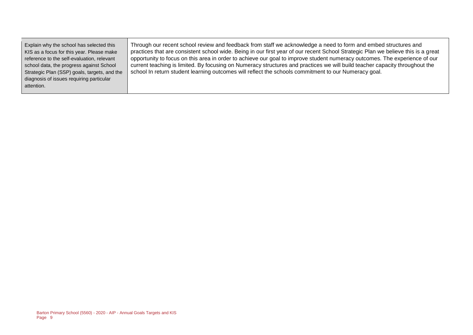| Explain why the school has selected this<br>KIS as a focus for this year. Please make<br>reference to the self-evaluation, relevant<br>school data, the progress against School<br>Strategic Plan (SSP) goals, targets, and the<br>diagnosis of issues requiring particular<br>attention. | Through our recent school review and feedback from staff we acknowledge a need to form and embed structures and<br>practices that are consistent school wide. Being in our first year of our recent School Strategic Plan we believe this is a great<br>opportunity to focus on this area in order to achieve our goal to improve student numeracy outcomes. The experience of our<br>current teaching is limited. By focusing on Numeracy structures and practices we will build teacher capacity throughout the<br>school In return student learning outcomes will reflect the schools commitment to our Numeracy goal. |
|-------------------------------------------------------------------------------------------------------------------------------------------------------------------------------------------------------------------------------------------------------------------------------------------|---------------------------------------------------------------------------------------------------------------------------------------------------------------------------------------------------------------------------------------------------------------------------------------------------------------------------------------------------------------------------------------------------------------------------------------------------------------------------------------------------------------------------------------------------------------------------------------------------------------------------|
|                                                                                                                                                                                                                                                                                           |                                                                                                                                                                                                                                                                                                                                                                                                                                                                                                                                                                                                                           |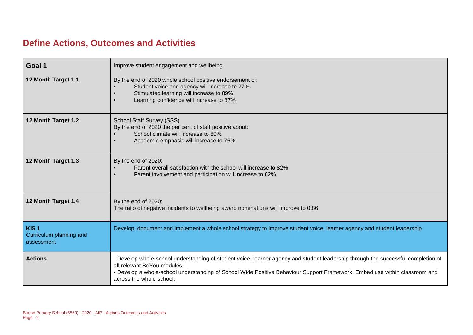### **Define Actions, Outcomes and Activities**

| Goal 1                                                    | Improve student engagement and wellbeing                                                                                                                                                                                                                                                                                   |
|-----------------------------------------------------------|----------------------------------------------------------------------------------------------------------------------------------------------------------------------------------------------------------------------------------------------------------------------------------------------------------------------------|
| 12 Month Target 1.1                                       | By the end of 2020 whole school positive endorsement of:<br>Student voice and agency will increase to 77%.<br>Stimulated learning will increase to 89%<br>$\bullet$<br>Learning confidence will increase to 87%                                                                                                            |
| 12 Month Target 1.2                                       | <b>School Staff Survey (SSS)</b><br>By the end of 2020 the per cent of staff positive about:<br>School climate will increase to 80%<br>Academic emphasis will increase to 76%<br>$\bullet$                                                                                                                                 |
| 12 Month Target 1.3                                       | By the end of 2020:<br>Parent overall satisfaction with the school will increase to 82%<br>Parent involvement and participation will increase to 62%<br>$\bullet$                                                                                                                                                          |
| 12 Month Target 1.4                                       | By the end of 2020:<br>The ratio of negative incidents to wellbeing award nominations will improve to 0.86                                                                                                                                                                                                                 |
| KIS <sub>1</sub><br>Curriculum planning and<br>assessment | Develop, document and implement a whole school strategy to improve student voice, learner agency and student leadership                                                                                                                                                                                                    |
| <b>Actions</b>                                            | - Develop whole-school understanding of student voice, learner agency and student leadership through the successful completion of<br>all relevant BeYou modules.<br>- Develop a whole-school understanding of School Wide Positive Behaviour Support Framework. Embed use within classroom and<br>across the whole school. |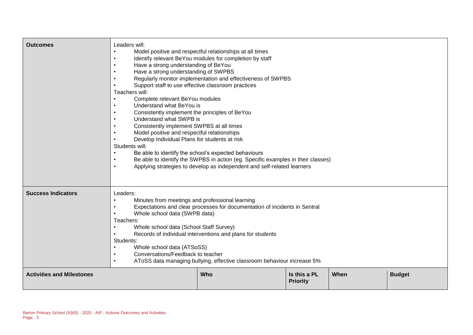| <b>Outcomes</b>                  | Leaders will:<br>Model positive and respectful relationships at all times<br>Identify relevant BeYou modules for completion by staff<br>$\bullet$<br>Have a strong understanding of BeYou<br>$\bullet$<br>Have a strong understanding of SWPBS<br>٠<br>Regularly monitor implementation and effectiveness of SWPBS<br>Support staff to use effective classroom practices<br>Teachers will:<br>Complete relevant BeYou modules<br>Understand what BeYou is<br>Consistently implement the principles of BeYou<br>Understand what SWPB is<br>Consistently implement SWPBS at all times<br>Model positive and respectful relationships<br>Develop Individual Plans for students at risk<br>Students will:<br>Be able to identify the school's expected behaviours<br>Be able to identify the SWPBS in action (eg. Specific examples in their classes)<br>Applying strategies to develop as independent and self-related learners |  |  |  |  |
|----------------------------------|------------------------------------------------------------------------------------------------------------------------------------------------------------------------------------------------------------------------------------------------------------------------------------------------------------------------------------------------------------------------------------------------------------------------------------------------------------------------------------------------------------------------------------------------------------------------------------------------------------------------------------------------------------------------------------------------------------------------------------------------------------------------------------------------------------------------------------------------------------------------------------------------------------------------------|--|--|--|--|
| <b>Success Indicators</b>        | Leaders:<br>Minutes from meetings and professional learning<br>$\bullet$<br>Expectations and clear processes for documentation of incidents in Sentral<br>Whole school data (SWPB data)<br>Teachers:<br>Whole school data (School Staff Survey)<br>Records of individual interventions and plans for students<br>Students:<br>Whole school data (ATSoSS)<br>$\bullet$<br>Conversations/Feedback to teacher<br>$\bullet$<br>AToSS data managing bullying, effective classroom behaviour increase 5%<br>$\bullet$                                                                                                                                                                                                                                                                                                                                                                                                              |  |  |  |  |
| <b>Activities and Milestones</b> | Is this a PL<br>When<br>Who<br><b>Budget</b><br><b>Priority</b>                                                                                                                                                                                                                                                                                                                                                                                                                                                                                                                                                                                                                                                                                                                                                                                                                                                              |  |  |  |  |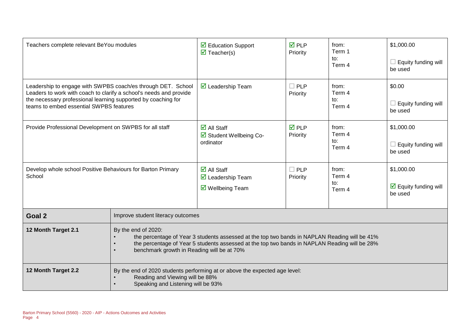| Teachers complete relevant BeYou modules                                                                                                                                                                                                       |                                                                                                                                                                                                                                                                     | ☑ Education Support<br>$\overline{\mathbf{z}}$ Teacher(s)                                                       | $\overline{M}$ PLP<br>Priority | from:<br>Term 1<br>to:<br>Term 4 | \$1,000.00<br>Equity funding will<br>be used                  |
|------------------------------------------------------------------------------------------------------------------------------------------------------------------------------------------------------------------------------------------------|---------------------------------------------------------------------------------------------------------------------------------------------------------------------------------------------------------------------------------------------------------------------|-----------------------------------------------------------------------------------------------------------------|--------------------------------|----------------------------------|---------------------------------------------------------------|
| Leadership to engage with SWPBS coach/es through DET. School<br>Leaders to work with coach to clarify a school's needs and provide<br>the necessary professional learning supported by coaching for<br>teams to embed essential SWPBS features |                                                                                                                                                                                                                                                                     | $\triangledown$ Leadership Team                                                                                 | $\Box$ PLP<br>Priority         | from:<br>Term 4<br>to:<br>Term 4 | \$0.00<br>Equity funding will<br>be used                      |
| Provide Professional Development on SWPBS for all staff                                                                                                                                                                                        |                                                                                                                                                                                                                                                                     | $\overline{\mathsf{d}}$ All Staff<br>☑ Student Wellbeing Co-<br>ordinator                                       | $\overline{M}$ PLP<br>Priority | from:<br>Term 4<br>to:<br>Term 4 | \$1,000.00<br>Equity funding will<br>be used                  |
| Develop whole school Positive Behaviours for Barton Primary<br>School                                                                                                                                                                          |                                                                                                                                                                                                                                                                     | $\overline{\mathsf{d}}$ All Staff<br>$\triangleright$ Leadership Team<br>$\overline{\mathbf{M}}$ Wellbeing Team | $\Box$ PLP<br>Priority         | from:<br>Term 4<br>to:<br>Term 4 | \$1,000.00<br>$\triangleright$ Equity funding will<br>be used |
| Goal 2                                                                                                                                                                                                                                         | Improve student literacy outcomes                                                                                                                                                                                                                                   |                                                                                                                 |                                |                                  |                                                               |
| 12 Month Target 2.1                                                                                                                                                                                                                            | By the end of 2020:<br>the percentage of Year 3 students assessed at the top two bands in NAPLAN Reading will be 41%<br>the percentage of Year 5 students assessed at the top two bands in NAPLAN Reading will be 28%<br>benchmark growth in Reading will be at 70% |                                                                                                                 |                                |                                  |                                                               |
| 12 Month Target 2.2                                                                                                                                                                                                                            | Reading and Viewing will be 88%<br>Speaking and Listening will be 93%                                                                                                                                                                                               | By the end of 2020 students performing at or above the expected age level:                                      |                                |                                  |                                                               |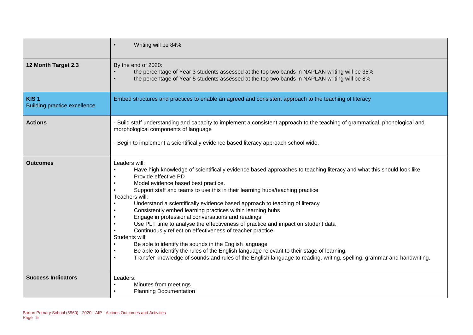|                                                         | Writing will be 84%                                                                                                                                                                                                                                                                                                                                                                                                                                                                                                                                                                                                                                                                                                                                                                                                                                                                                                                                                                     |
|---------------------------------------------------------|-----------------------------------------------------------------------------------------------------------------------------------------------------------------------------------------------------------------------------------------------------------------------------------------------------------------------------------------------------------------------------------------------------------------------------------------------------------------------------------------------------------------------------------------------------------------------------------------------------------------------------------------------------------------------------------------------------------------------------------------------------------------------------------------------------------------------------------------------------------------------------------------------------------------------------------------------------------------------------------------|
| 12 Month Target 2.3                                     | By the end of 2020:<br>the percentage of Year 3 students assessed at the top two bands in NAPLAN writing will be 35%<br>the percentage of Year 5 students assessed at the top two bands in NAPLAN writing will be 8%                                                                                                                                                                                                                                                                                                                                                                                                                                                                                                                                                                                                                                                                                                                                                                    |
| KIS <sub>1</sub><br><b>Building practice excellence</b> | Embed structures and practices to enable an agreed and consistent approach to the teaching of literacy                                                                                                                                                                                                                                                                                                                                                                                                                                                                                                                                                                                                                                                                                                                                                                                                                                                                                  |
| <b>Actions</b>                                          | - Build staff understanding and capacity to implement a consistent approach to the teaching of grammatical, phonological and<br>morphological components of language<br>- Begin to implement a scientifically evidence based literacy approach school wide.                                                                                                                                                                                                                                                                                                                                                                                                                                                                                                                                                                                                                                                                                                                             |
| Outcomes                                                | Leaders will:<br>Have high knowledge of scientifically evidence based approaches to teaching literacy and what this should look like.<br>Provide effective PD<br>Model evidence based best practice.<br>Support staff and teams to use this in their learning hubs/teaching practice<br>Teachers will:<br>Understand a scientifically evidence based approach to teaching of literacy<br>Consistently embed learning practices within learning hubs<br>Engage in professional conversations and readings<br>Use PLT time to analyse the effectiveness of practice and impact on student data<br>Continuously reflect on effectiveness of teacher practice<br>Students will:<br>Be able to identify the sounds in the English language<br>$\bullet$<br>Be able to identify the rules of the English language relevant to their stage of learning.<br>$\bullet$<br>Transfer knowledge of sounds and rules of the English language to reading, writing, spelling, grammar and handwriting. |
| <b>Success Indicators</b>                               | Leaders:<br>Minutes from meetings<br><b>Planning Documentation</b>                                                                                                                                                                                                                                                                                                                                                                                                                                                                                                                                                                                                                                                                                                                                                                                                                                                                                                                      |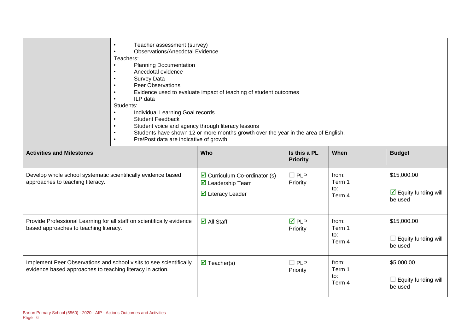| Teachers:<br>Anecdotal evidence<br><b>Survey Data</b><br><b>Peer Observations</b><br>ILP data<br>Students:<br><b>Student Feedback</b><br>$\bullet$<br>$\bullet$<br>$\bullet$ | Teacher assessment (survey)<br><b>Observations/Anecdotal Evidence</b><br><b>Planning Documentation</b><br>Evidence used to evaluate impact of teaching of student outcomes<br>Individual Learning Goal records<br>Student voice and agency through literacy lessons<br>Students have shown 12 or more months growth over the year in the area of English.<br>Pre/Post data are indicative of growth |                                 |                                  |                                                                   |
|------------------------------------------------------------------------------------------------------------------------------------------------------------------------------|-----------------------------------------------------------------------------------------------------------------------------------------------------------------------------------------------------------------------------------------------------------------------------------------------------------------------------------------------------------------------------------------------------|---------------------------------|----------------------------------|-------------------------------------------------------------------|
| <b>Activities and Milestones</b>                                                                                                                                             | Who                                                                                                                                                                                                                                                                                                                                                                                                 | Is this a PL<br><b>Priority</b> | When                             | <b>Budget</b>                                                     |
| Develop whole school systematic scientifically evidence based<br>approaches to teaching literacy.                                                                            | $\triangleright$ Curriculum Co-ordinator (s)<br>$\overline{\mathbf{M}}$ Leadership Team<br>$\overline{\mathbf{y}}$ Literacy Leader                                                                                                                                                                                                                                                                  | $\Box$ PLP<br>Priority          | from:<br>Term 1<br>to:<br>Term 4 | \$15,000.00<br>$\boxed{\triangle}$ Equity funding will<br>be used |
| Provide Professional Learning for all staff on scientifically evidence<br>based approaches to teaching literacy.                                                             | $\overline{\mathbf{d}}$ All Staff                                                                                                                                                                                                                                                                                                                                                                   | $\overline{M}$ PLP<br>Priority  | from:<br>Term 1<br>to:<br>Term 4 | \$15,000.00<br>$\Box$ Equity funding will<br>be used              |
| Implement Peer Observations and school visits to see scientifically<br>evidence based approaches to teaching literacy in action.                                             | $\triangledown$ Teacher(s)                                                                                                                                                                                                                                                                                                                                                                          | $\square$ PLP<br>Priority       | from:<br>Term 1<br>to:<br>Term 4 | \$5,000.00<br>$\Box$ Equity funding will<br>be used               |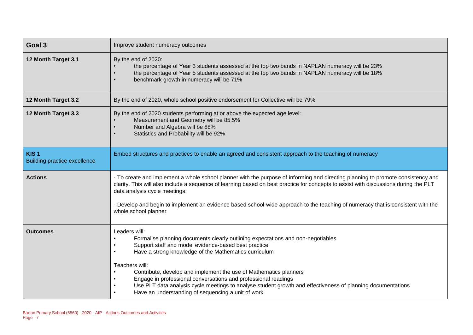| Goal 3                                                  | Improve student numeracy outcomes                                                                                                                                                                                                                                                                                                                                                                                                                                                                                                               |
|---------------------------------------------------------|-------------------------------------------------------------------------------------------------------------------------------------------------------------------------------------------------------------------------------------------------------------------------------------------------------------------------------------------------------------------------------------------------------------------------------------------------------------------------------------------------------------------------------------------------|
| 12 Month Target 3.1                                     | By the end of 2020:<br>the percentage of Year 3 students assessed at the top two bands in NAPLAN numeracy will be 23%<br>the percentage of Year 5 students assessed at the top two bands in NAPLAN numeracy will be 18%<br>benchmark growth in numeracy will be 71%                                                                                                                                                                                                                                                                             |
| 12 Month Target 3.2                                     | By the end of 2020, whole school positive endorsement for Collective will be 79%                                                                                                                                                                                                                                                                                                                                                                                                                                                                |
| 12 Month Target 3.3                                     | By the end of 2020 students performing at or above the expected age level:<br>Measurement and Geometry will be 85.5%<br>Number and Algebra will be 88%<br>Statistics and Probability will be 92%                                                                                                                                                                                                                                                                                                                                                |
| KIS <sub>1</sub><br><b>Building practice excellence</b> | Embed structures and practices to enable an agreed and consistent approach to the teaching of numeracy                                                                                                                                                                                                                                                                                                                                                                                                                                          |
| <b>Actions</b>                                          | - To create and implement a whole school planner with the purpose of informing and directing planning to promote consistency and<br>clarity. This will also include a sequence of learning based on best practice for concepts to assist with discussions during the PLT<br>data analysis cycle meetings.<br>- Develop and begin to implement an evidence based school-wide approach to the teaching of numeracy that is consistent with the<br>whole school planner                                                                            |
| <b>Outcomes</b>                                         | Leaders will:<br>Formalise planning documents clearly outlining expectations and non-negotiables<br>Support staff and model evidence-based best practice<br>Have a strong knowledge of the Mathematics curriculum<br>Teachers will:<br>Contribute, develop and implement the use of Mathematics planners<br>Engage in professional conversations and professional readings<br>Use PLT data analysis cycle meetings to analyse student growth and effectiveness of planning documentations<br>Have an understanding of sequencing a unit of work |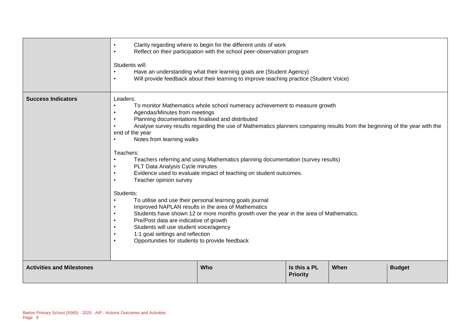|                                  | Clarity regarding where to begin for the different units of work<br>$\bullet$<br>Reflect on their participation with the school peer-observation program<br>$\bullet$<br>Students will:<br>Have an understanding what their learning goals are (Student Agency)<br>$\bullet$<br>Will provide feedback about their learning to improve teaching practice (Student Voice)<br>$\bullet$                                                                                                                                                                                                                                                                                                                                                                                                                                                                                                                                                                                                                                                                              |     |                                 |      |               |  |
|----------------------------------|-------------------------------------------------------------------------------------------------------------------------------------------------------------------------------------------------------------------------------------------------------------------------------------------------------------------------------------------------------------------------------------------------------------------------------------------------------------------------------------------------------------------------------------------------------------------------------------------------------------------------------------------------------------------------------------------------------------------------------------------------------------------------------------------------------------------------------------------------------------------------------------------------------------------------------------------------------------------------------------------------------------------------------------------------------------------|-----|---------------------------------|------|---------------|--|
| <b>Success Indicators</b>        | Leaders:<br>To monitor Mathematics whole school numeracy achievement to measure growth<br>Agendas/Minutes from meetings<br>$\bullet$<br>Planning documentations finalised and distributed<br>Analyse survey results regarding the use of Mathematics planners comparing results from the beginning of the year with the<br>end of the year<br>Notes from learning walks<br>Teachers:<br>Teachers referring and using Mathematics planning documentation (survey results)<br>PLT Data Analysis Cycle minutes<br>$\bullet$<br>Evidence used to evaluate impact of teaching on student outcomes.<br>$\bullet$<br>Teacher opinion survey<br>$\bullet$<br>Students:<br>To utilise and use their personal learning goals journal<br>Improved NAPLAN results in the area of Mathematics<br>Students have shown 12 or more months growth over the year in the area of Mathematics.<br>Pre/Post data are indicative of growth<br>Students will use student voice/agency<br>1:1 goal settings and reflection<br>Opportunities for students to provide feedback<br>$\bullet$ |     |                                 |      |               |  |
| <b>Activities and Milestones</b> |                                                                                                                                                                                                                                                                                                                                                                                                                                                                                                                                                                                                                                                                                                                                                                                                                                                                                                                                                                                                                                                                   | Who | Is this a PL<br><b>Priority</b> | When | <b>Budget</b> |  |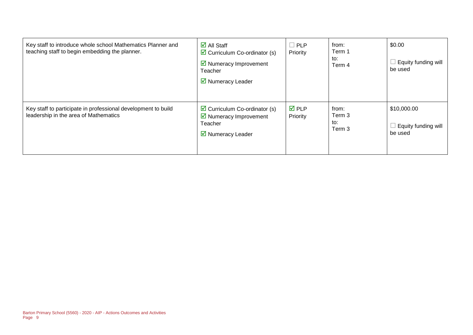| Key staff to introduce whole school Mathematics Planner and<br>teaching staff to begin embedding the planner. | $\overline{\mathsf{M}}$ All Staff<br>$\triangleright$ Curriculum Co-ordinator (s)<br>$\triangleright$ Numeracy Improvement<br>Teacher<br>■ Numeracy Leader | $\Box$ PLP<br>Priority | from:<br>Term 1<br>to:<br>Term 4 | \$0.00<br>Equity funding will<br>be used      |
|---------------------------------------------------------------------------------------------------------------|------------------------------------------------------------------------------------------------------------------------------------------------------------|------------------------|----------------------------------|-----------------------------------------------|
| Key staff to participate in professional development to build<br>leadership in the area of Mathematics        | $\boxdot$ Curriculum Co-ordinator (s)<br>$\triangleright$ Numeracy Improvement<br>Teacher<br>■ Numeracy Leader                                             | MEPLP<br>Priority      | from:<br>Term 3<br>to:<br>Term 3 | \$10,000.00<br>Equity funding will<br>be used |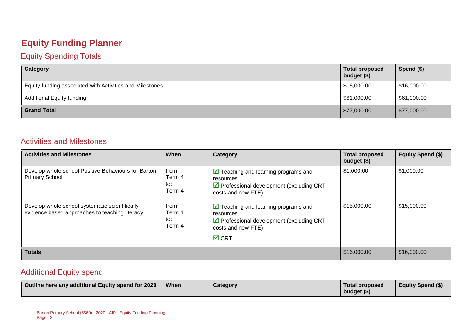### **Equity Funding Planner**

#### Equity Spending Totals

| Category                                                 | <b>Total proposed</b><br>budget (\$) | Spend $($)$ |
|----------------------------------------------------------|--------------------------------------|-------------|
| Equity funding associated with Activities and Milestones | \$16,000.00                          | \$16,000.00 |
| <b>Additional Equity funding</b>                         | \$61,000.00                          | \$61,000.00 |
| <b>Grand Total</b>                                       | \$77,000.00                          | \$77,000.00 |

#### Activities and Milestones

| <b>Activities and Milestones</b>                                                                  | When                             | Category                                                                                                                                                             | <b>Total proposed</b><br>budget $($)$ | Equity Spend (\$) |
|---------------------------------------------------------------------------------------------------|----------------------------------|----------------------------------------------------------------------------------------------------------------------------------------------------------------------|---------------------------------------|-------------------|
| Develop whole school Positive Behaviours for Barton<br><b>Primary School</b>                      | from:<br>Term 4<br>to:<br>Term 4 | $\triangleright$ Teaching and learning programs and<br>resources<br>$\triangledown$ Professional development (excluding CRT<br>costs and new FTE)                    | \$1,000.00                            | \$1,000.00        |
| Develop whole school systematic scientifically<br>evidence based approaches to teaching literacy. | from:<br>Term 1<br>to:<br>Term 4 | $\triangleright$ Teaching and learning programs and<br>resources<br>$\triangledown$ Professional development (excluding CRT<br>costs and new FTE)<br>$\boxtimes$ CRT | \$15,000.00                           | \$15,000.00       |
| <b>Totals</b>                                                                                     |                                  |                                                                                                                                                                      |                                       | \$16,000.00       |

#### Additional Equity spend

| When<br>Outline here any additional Equity spend for 2020 | Category | <b>Total proposed</b><br>budget (\$) | Equity Spend (\$) |
|-----------------------------------------------------------|----------|--------------------------------------|-------------------|
|-----------------------------------------------------------|----------|--------------------------------------|-------------------|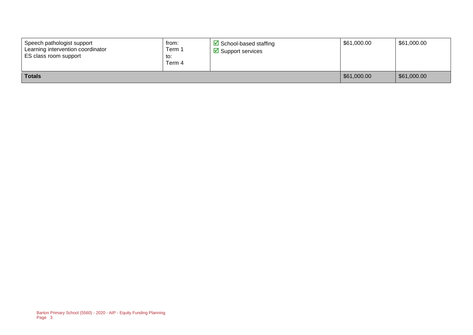| Speech pathologist support<br>Learning intervention coordinator<br>ES class room support | from:<br>Term 1<br>to:<br>Term 4 | $\boxdot$ School-based staffing<br>$\boxtimes$ Support services | \$61,000.00 | \$61,000.00 |
|------------------------------------------------------------------------------------------|----------------------------------|-----------------------------------------------------------------|-------------|-------------|
| <b>Totals</b>                                                                            |                                  |                                                                 | \$61,000.00 | \$61,000.00 |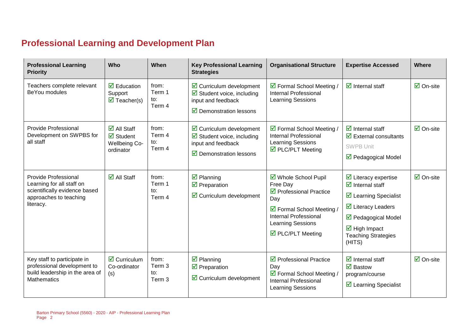## **Professional Learning and Development Plan**

| <b>Professional Learning</b><br><b>Priority</b>                                                                                  | Who                                                                                                       | When                             | <b>Key Professional Learning</b><br><b>Strategies</b>                                                                                    | <b>Organisational Structure</b>                                                                                                                                                                       | <b>Expertise Accessed</b>                                                                                                                                                                                                                                | Where                           |
|----------------------------------------------------------------------------------------------------------------------------------|-----------------------------------------------------------------------------------------------------------|----------------------------------|------------------------------------------------------------------------------------------------------------------------------------------|-------------------------------------------------------------------------------------------------------------------------------------------------------------------------------------------------------|----------------------------------------------------------------------------------------------------------------------------------------------------------------------------------------------------------------------------------------------------------|---------------------------------|
| Teachers complete relevant<br>BeYou modules                                                                                      | $\boxtimes$ Education<br>Support<br>$\overline{\mathbf{M}}$ Teacher(s)                                    | from:<br>Term 1<br>to:<br>Term 4 | $\boxdot$ Curriculum development<br>$\boxtimes$ Student voice, including<br>input and feedback<br>$\triangleright$ Demonstration lessons | ☑ Formal School Meeting /<br>Internal Professional<br><b>Learning Sessions</b>                                                                                                                        | $\overline{\mathbf{z}}$ Internal staff                                                                                                                                                                                                                   | $\overline{\mathsf{M}}$ On-site |
| Provide Professional<br>Development on SWPBS for<br>all staff                                                                    | $\overline{\mathsf{M}}$ All Staff<br>$\overline{\mathbf{z}}$ Student<br><b>Wellbeing Co-</b><br>ordinator | from:<br>Term 4<br>to:<br>Term 4 | ☑ Curriculum development<br>$\boxdot$ Student voice, including<br>input and feedback<br>$\triangledown$ Demonstration lessons            | ☑ Formal School Meeting /<br>Internal Professional<br><b>Learning Sessions</b><br>$\triangledown$ PLC/PLT Meeting                                                                                     | $\overline{\mathcal{A}}$ Internal staff<br>$\overline{\mathbf{z}}$ External consultants<br><b>SWPB Unit</b><br>$\triangledown$ Pedagogical Model                                                                                                         | $\overline{\boxtimes}$ On-site  |
| <b>Provide Professional</b><br>Learning for all staff on<br>scientifically evidence based<br>approaches to teaching<br>literacy. | $\boxdot$ All Staff                                                                                       | from:<br>Term 1<br>to:<br>Term 4 | $\boxtimes$ Planning<br>$\overline{\mathbf{M}}$ Preparation<br>$\triangleright$ Curriculum development                                   | ☑ Whole School Pupil<br>Free Day<br>$\triangledown$ Professional Practice<br>Day<br>☑ Formal School Meeting /<br>Internal Professional<br>Learning Sessions<br>$\overline{\boxtimes}$ PLC/PLT Meeting | $\triangleright$ Literacy expertise<br>$\overline{\mathbf{d}}$ Internal staff<br>☑ Learning Specialist<br>$\overline{\mathbf{y}}$ Literacy Leaders<br>☑ Pedagogical Model<br>$\overline{\mathbf{M}}$ High Impact<br><b>Teaching Strategies</b><br>(HITS) | $\overline{\mathsf{M}}$ On-site |
| Key staff to participate in<br>professional development to<br>build leadership in the area of<br><b>Mathematics</b>              | $\overline{\mathbf{Z}}$ Curriculum<br>Co-ordinator<br>(s)                                                 | from:<br>Term 3<br>to:<br>Term 3 | $\overline{\mathbf{z}}$ Planning<br>$\overline{\mathbf{y}}$ Preparation<br>$\boxdot$ Curriculum development                              | $\triangledown$ Professional Practice<br>Day<br>☑ Formal School Meeting /<br><b>Internal Professional</b><br><b>Learning Sessions</b>                                                                 | $\overline{\mathbf{d}}$ Internal staff<br>$\boxdot$ Bastow<br>program/course<br>$\boxtimes$ Learning Specialist                                                                                                                                          | $\overline{\mathsf{M}}$ On-site |